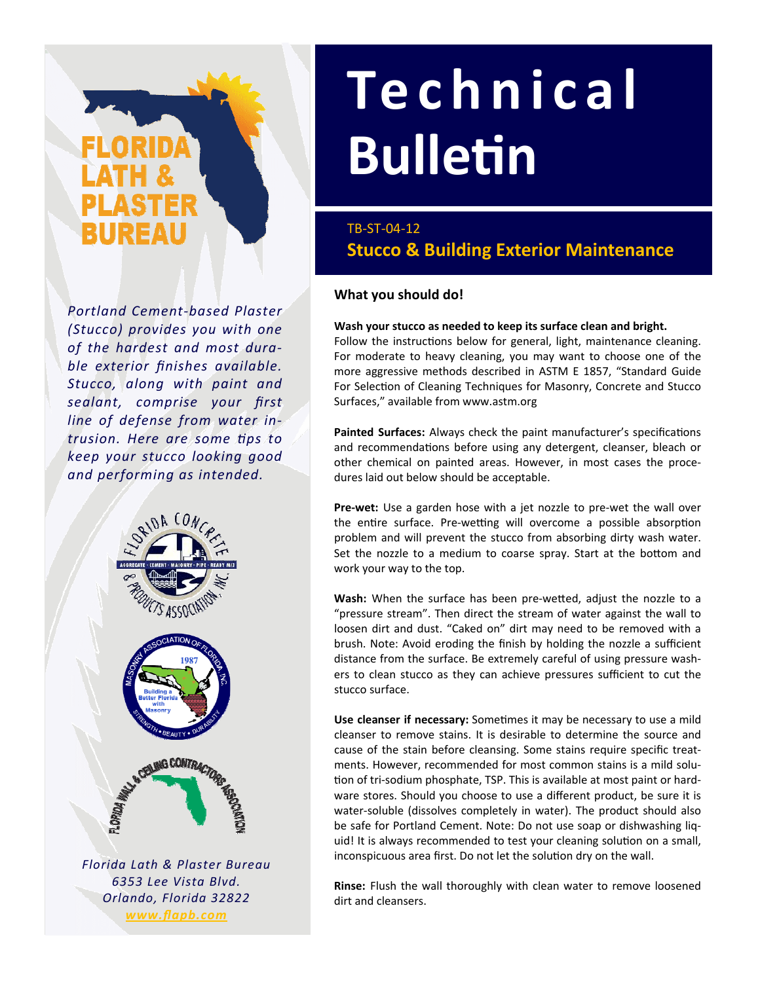# IREAU

*Portland Cement‐based Plaster (Stucco) provides you with one of the hardest and most dura‐ ble exterior finishes available. Stucco, along with paint and sealant, comprise your first line of defense from water in‐ trusion. Here are some Ɵps to keep your stucco looking good and performing as intended.*



*Orlando, Florida 32822 www.flapb.com*

# **Technical BulleƟn**

# TB‐ST‐04‐12 **Stucco & Building Exterior Maintenance**

# **What you should do!**

## **Wash your stucco as needed to keep its surface clean and bright.**

Follow the instructions below for general, light, maintenance cleaning. For moderate to heavy cleaning, you may want to choose one of the more aggressive methods described in ASTM E 1857, "Standard Guide For Selection of Cleaning Techniques for Masonry, Concrete and Stucco Surfaces," available from www.astm.org

Painted Surfaces: Always check the paint manufacturer's specifications and recommendations before using any detergent, cleanser, bleach or other chemical on painted areas. However, in most cases the proce‐ dures laid out below should be acceptable.

**Pre-wet:** Use a garden hose with a jet nozzle to pre-wet the wall over the entire surface. Pre-wetting will overcome a possible absorption problem and will prevent the stucco from absorbing dirty wash water. Set the nozzle to a medium to coarse spray. Start at the bottom and work your way to the top.

Wash: When the surface has been pre-wetted, adjust the nozzle to a "pressure stream". Then direct the stream of water against the wall to loosen dirt and dust. "Caked on" dirt may need to be removed with a brush. Note: Avoid eroding the finish by holding the nozzle a sufficient distance from the surface. Be extremely careful of using pressure wash‐ ers to clean stucco as they can achieve pressures sufficient to cut the stucco surface.

**Use cleanser if necessary:** Sometimes it may be necessary to use a mild cleanser to remove stains. It is desirable to determine the source and cause of the stain before cleansing. Some stains require specific treat‐ ments. However, recommended for most common stains is a mild solution of tri-sodium phosphate, TSP. This is available at most paint or hardware stores. Should you choose to use a different product, be sure it is water-soluble (dissolves completely in water). The product should also be safe for Portland Cement. Note: Do not use soap or dishwashing liq‐ uid! It is always recommended to test your cleaning solution on a small, inconspicuous area first. Do not let the solution dry on the wall.

**Rinse:** Flush the wall thoroughly with clean water to remove loosened dirt and cleansers.